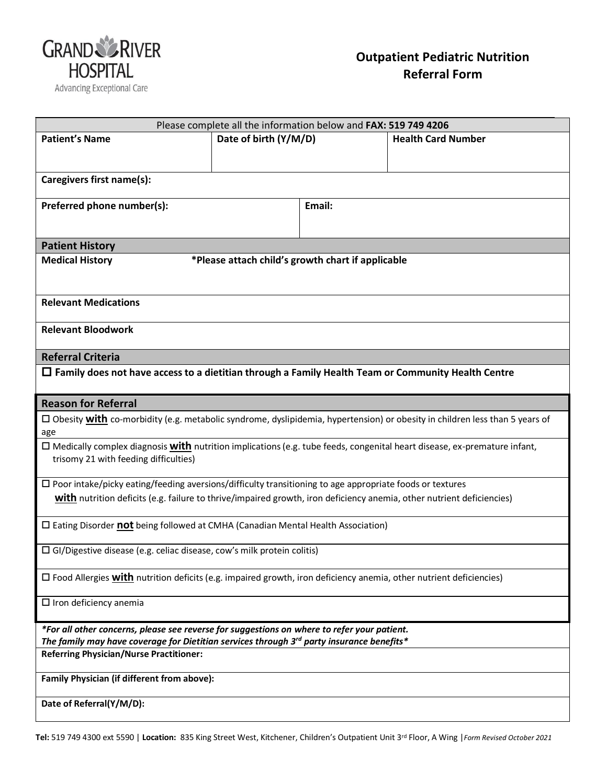

| Please complete all the information below and FAX: 519 749 4206                                                                                         |                       |        |                           |  |
|---------------------------------------------------------------------------------------------------------------------------------------------------------|-----------------------|--------|---------------------------|--|
| <b>Patient's Name</b>                                                                                                                                   | Date of birth (Y/M/D) |        | <b>Health Card Number</b> |  |
|                                                                                                                                                         |                       |        |                           |  |
| Caregivers first name(s):                                                                                                                               |                       |        |                           |  |
| Preferred phone number(s):                                                                                                                              |                       | Email: |                           |  |
|                                                                                                                                                         |                       |        |                           |  |
|                                                                                                                                                         |                       |        |                           |  |
| <b>Patient History</b>                                                                                                                                  |                       |        |                           |  |
| *Please attach child's growth chart if applicable<br><b>Medical History</b>                                                                             |                       |        |                           |  |
|                                                                                                                                                         |                       |        |                           |  |
| <b>Relevant Medications</b>                                                                                                                             |                       |        |                           |  |
| <b>Relevant Bloodwork</b>                                                                                                                               |                       |        |                           |  |
|                                                                                                                                                         |                       |        |                           |  |
| <b>Referral Criteria</b>                                                                                                                                |                       |        |                           |  |
| $\Box$ Family does not have access to a dietitian through a Family Health Team or Community Health Centre                                               |                       |        |                           |  |
| <b>Reason for Referral</b>                                                                                                                              |                       |        |                           |  |
| $\Box$ Obesity <b>with</b> co-morbidity (e.g. metabolic syndrome, dyslipidemia, hypertension) or obesity in children less than 5 years of               |                       |        |                           |  |
| age                                                                                                                                                     |                       |        |                           |  |
| □ Medically complex diagnosis with nutrition implications (e.g. tube feeds, congenital heart disease, ex-premature infant,                              |                       |        |                           |  |
| trisomy 21 with feeding difficulties)                                                                                                                   |                       |        |                           |  |
| $\Box$ Poor intake/picky eating/feeding aversions/difficulty transitioning to age appropriate foods or textures                                         |                       |        |                           |  |
| with nutrition deficits (e.g. failure to thrive/impaired growth, iron deficiency anemia, other nutrient deficiencies)                                   |                       |        |                           |  |
| $\square$ Eating Disorder not being followed at CMHA (Canadian Mental Health Association)                                                               |                       |        |                           |  |
|                                                                                                                                                         |                       |        |                           |  |
| $\Box$ GI/Digestive disease (e.g. celiac disease, cow's milk protein colitis)                                                                           |                       |        |                           |  |
| $\Box$ Food Allergies with nutrition deficits (e.g. impaired growth, iron deficiency anemia, other nutrient deficiencies)                               |                       |        |                           |  |
| $\Box$ Iron deficiency anemia                                                                                                                           |                       |        |                           |  |
| *For all other concerns, please see reverse for suggestions on where to refer your patient.                                                             |                       |        |                           |  |
| The family may have coverage for Dietitian services through 3 <sup>rd</sup> party insurance benefits*<br><b>Referring Physician/Nurse Practitioner:</b> |                       |        |                           |  |
|                                                                                                                                                         |                       |        |                           |  |
| Family Physician (if different from above):                                                                                                             |                       |        |                           |  |
| Date of Referral(Y/M/D):                                                                                                                                |                       |        |                           |  |